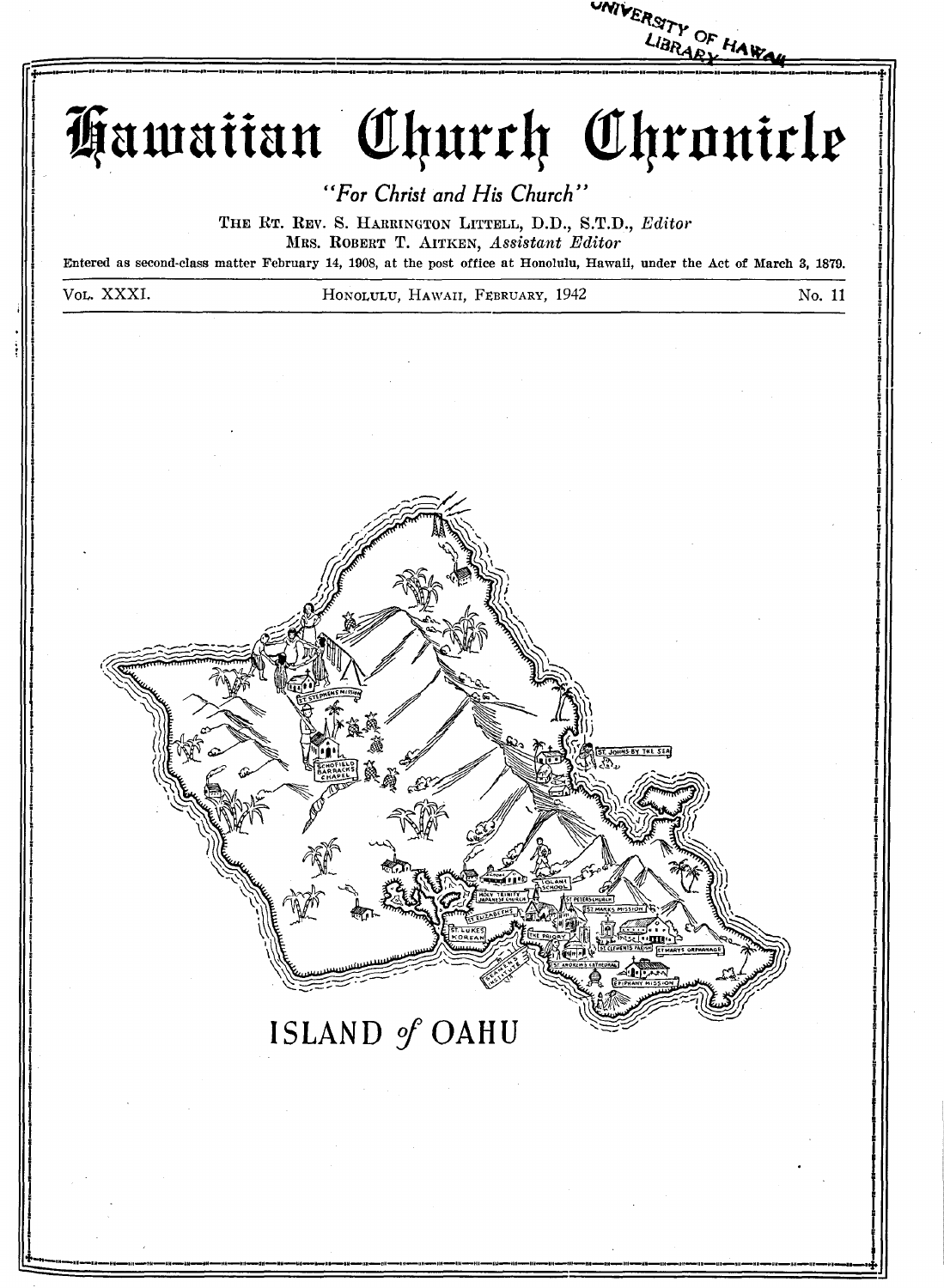

Hawaiian Church Chronicle

"For Christ and His Church"

THE RT. REV. S. HARRINGTON LITTELL, D.D., S.T.D., Editor MRS. ROBERT T. AITKEN, Assistant Editor

Entered as second-class matter February 14, 1908, at the post office at Honolulu, Hawaii, under the Act of March 3, 1879.

Vol. XXXI.

HONOLULU, HAWAII, FEBRUARY, 1942



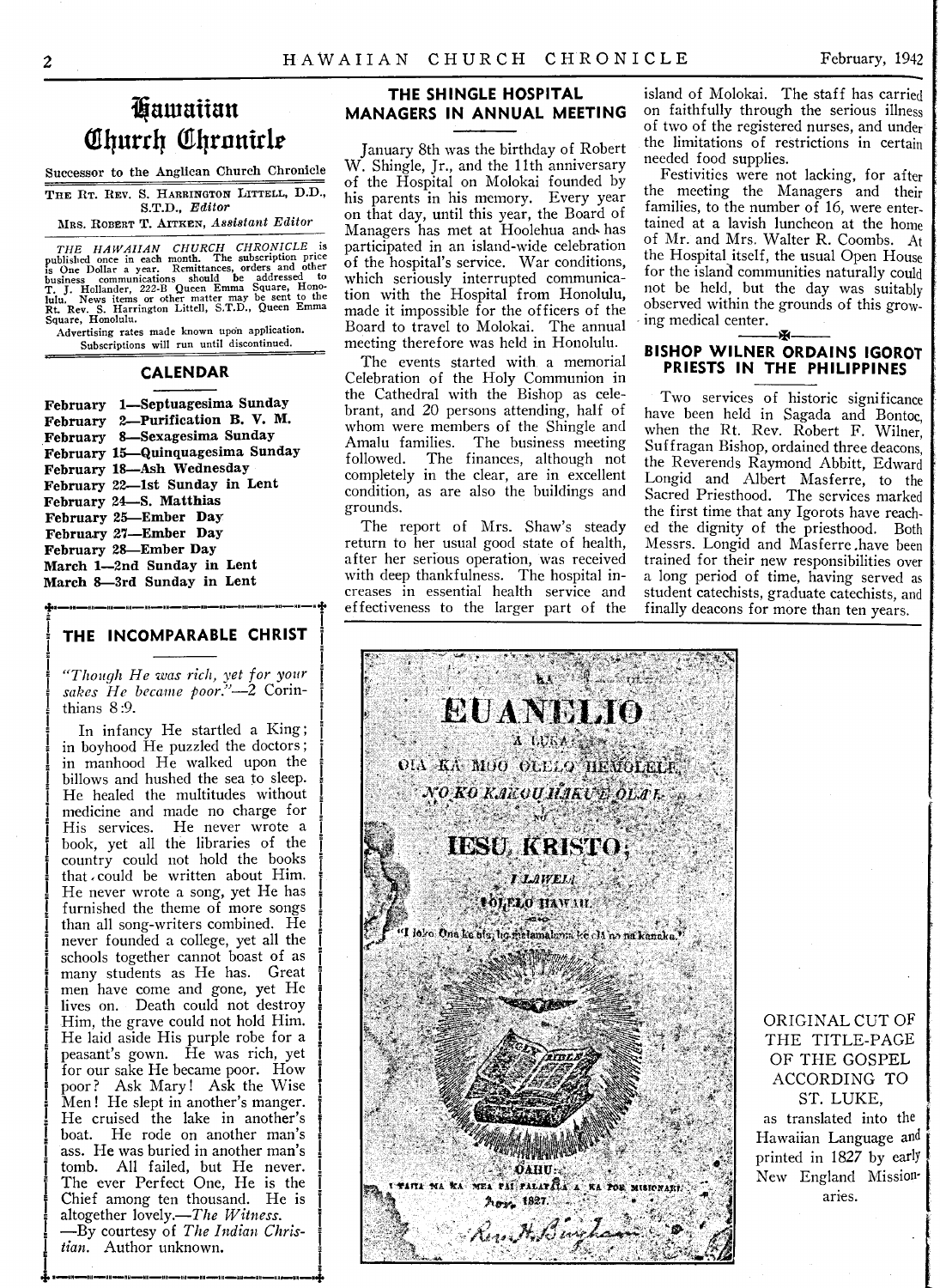### **Щ ашаііап Church Chronicle**

Successor to the Anglican Church Chronicle THE RT. REV. S. HARRINGTON LITTELL, D.D., S.T.D., *E ditor* MRS. ROBERT T. AITKEN, Assistant Editor

THE HAWAIIAN CHURCH CHRONICLE is<br>published once in each month. The subscription price<br>is One Dollar a year. Remittances, orders and other<br>business communications should be addressed to<br>T. J. Hollander, 222-B Queen Emma Squ

A dvertising rates made known upon application. Subscriptions will run until discontinued.

#### **C A L E N D A R**

February 1-Septuagesima Sunday February 2-Purification B. V. M. February 8-Sexagesima Sunday February 15—Quinquagesima Sunday February 18-Ash Wednesday February 22-1st Sunday in Lent February 24-S. Matthias February 25-Ember Day February 27—Ember Day February 28—Ember Day March 1-2nd Sunday in Lent March 8-3rd Sunday in Lent

#### **THE INCOMPARABLE CHRIST**

*"Though H e was rich, yet for your* sakes He became poor."-2 Corinthians 8:9.

In infancy He startled a King; in boyhood He puzzled the doctors; in manhood He walked upon the billows and hushed the sea to sleep. He healed the multitudes without medicine and made no charge for His services. He never wrote a book, yet all the libraries of the country could not hold the books that could be written about Him. He never wrote a song, yet He has furnished the theme of more songs than all song-writers combined. He never founded a college, yet all the schools together cannot boast of as many students as He has. Great men have come and gone, yet He lives on. Death could not destroy Him, the grave could not hold Him. He laid aside His purple robe for a peasant's gown. He was rich, yet for our sake He became poor. How poor? Ask Mary! Ask the Wise Men! He slept in another's manger. He cruised the lake in another's boat. He rode on another man's ass. He was buried in another man's tomb. All failed, but He never. The ever Perfect One, He is the Chief among ten thousand. He is altogether lovely.—*The Witness.* — By courtesy of *The Indian Christian.* Author unknown.

#### **THE SHINGLE HOSPITAL MANAGERS IN ANNUAL MEETING**

January 8th was the birthday of Robert W. Shingle, Jr., and the 11th anniversary of the Hospital on Molokai founded by his parents in his memory. Every year on that day, until this year, the Board of Managers has met at Hoolehua and\* has participated in an island-wide celebration of the hospital's service. War conditions, which seriously interrupted communication with the Hospital from Honolulu, made it impossible for the officers of the Board to travel to Molokai. The annual meeting therefore was held in Honolulu.

The events started with a memorial Celebration of the Holy Communion in the Cathedral with the Bishop as celebrant, and 20 persons attending, half of whom were members of the Shingle and Amalu families. The business meeting followed. The finances, although not completely in the clear, are in excellent condition, as are also the buildings and grounds.

The report of Mrs. Shaw's steady return to her usual good state of health, after her serious operation, was received with deep thankfulness. The hospital increases in essential health service and effectiveness to the larger part of the

island of Molokai. The staff has carried on faithfully through the serious illness of two of the registered nurses, and under the limitations of restrictions in certain needed food supplies.

Festivities were not lacking, for after the meeting the Managers and their families, to the number of 16, were entertained at a lavish luncheon at the home of Mr. and Mrs. Walter R. Coombs. At the Hospital itself, the usual Open House for the island communities naturally could not be held, but the day was suitably observed within the grounds of this growing medical center.  $\overline{\phantom{a}}$ 

#### **BISHOP WILNER ORDAINS IGOROT PRIESTS IN THE PHILIPPINES**

Two services of historic significance have been held in Sagada and Bontoc, when the Rt. Rev. Robert F. Wilner, Suffragan Bishop, ordained three deacons, the Reverends Raymond Abbitt, Edward Longid and Albert Masferre, to the Sacred Priesthood. The services marked the first time that any Igorots have reached the dignity of the priesthood. Both Messrs. Longid and Masferre .have been trained for their new responsibilities over a long period of time, having served as student catechists, graduate catechists, and finally deacons for more than ten years.



ORIGINAL CUT OF THE TITLE-PAGE OF THE GOSPEL ACCORDING TO ST. LUKE, as translated into the Hawaiian Language and printed in 1827 by early New England Missionaries.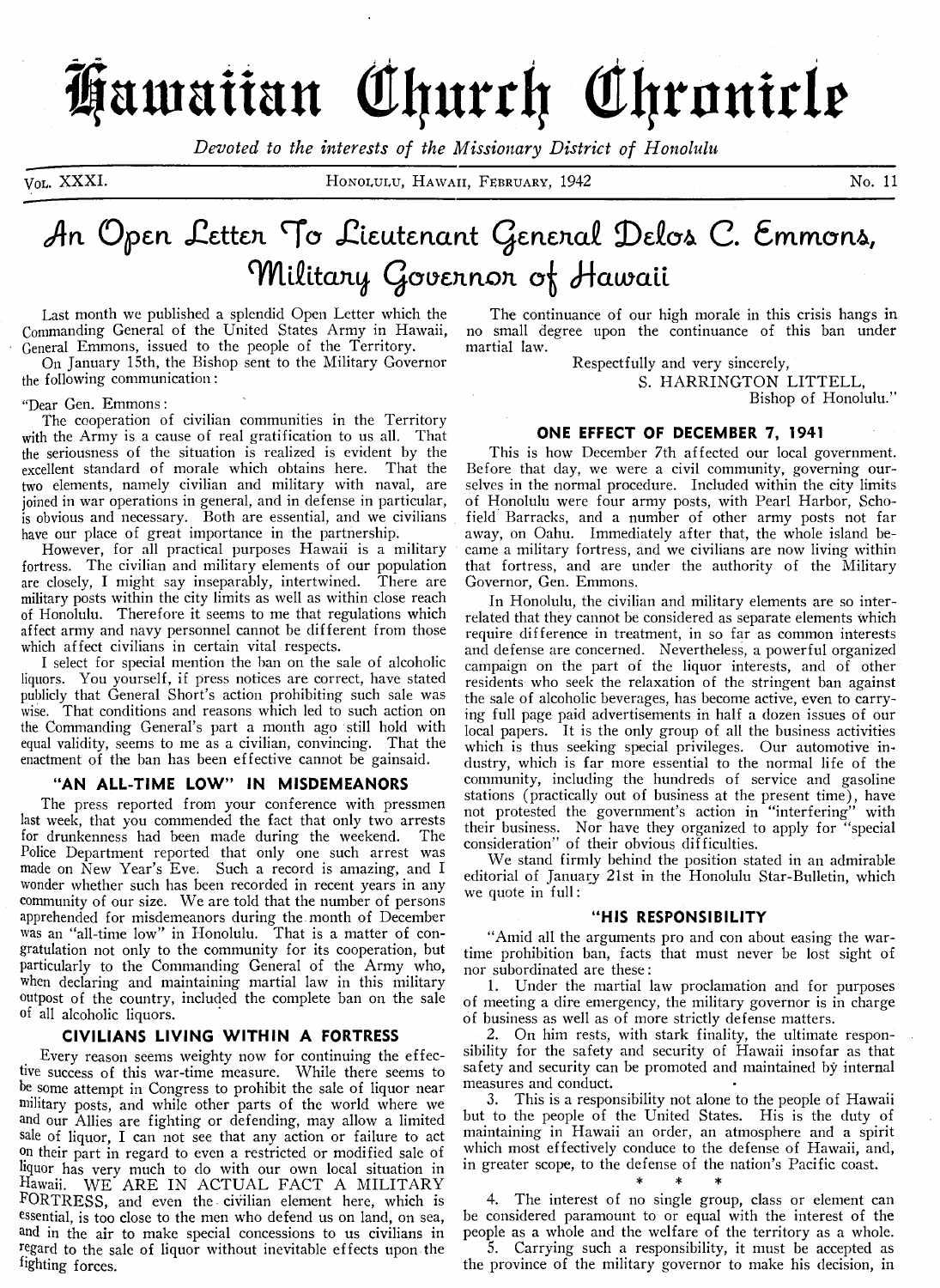# Hawaiian Church Chronicle

Devoted to the interests of the Missionary District of Honolulu

VOL. XXXI.

HONOLULU, HAWAII, FEBRUARY, 1942

No. 11

### An Open Letten To Lieutenant Genenal Delos C. Emmons, Military Governor of Hawaii

Last month we published a splendid Open Letter which the Commanding General of the United States Army in Hawaii, General Emmons, issued to the people of the Territory.

On January 15th, the Bishop sent to the Military Governor the following communication:

#### "Dear Gen. Emmons:

The cooperation of civilian communities in the Territory with the Army is a cause of real gratification to us all. That the seriousness of the situation is realized is evident by the excellent standard of morale which obtains here. That the two elements, namely civilian and military with naval, are joined in war operations in general, and in defense in particular, is obvious and necessary. Both are essential, and we civilians have our place of great importance in the partnership.

However, for all practical purposes Hawaii is a military fortress. The civilian and military elements of our population are closely, I might say inseparably, intertwined. There are military posts within the city limits as well as within close reach of Honolulu. Therefore it seems to me that regulations which affect army and navy personnel cannot be different from those which affect civilians in certain vital respects.

I select for special mention the ban on the sale of alcoholic liquors. You yourself, if press notices are correct, have stated publicly that General Short's action prohibiting such sale was wise. That conditions and reasons which led to such action on the Commanding General's part a month ago still hold with equal validity, seems to me as a civilian, convincing. That the enactment of the ban has been effective cannot be gainsaid.

#### "AN ALL-TIME LOW" IN MISDEMEANORS

The press reported from your conference with pressmen last week, that you commended the fact that only two arrests for drunkenness had been made during the weekend. The Police Department reported that only one such arrest was made on New Year's Eve. Such a record is amazing, and I wonder whether such has been recorded in recent years in any community of our size. We are told that the number of persons apprehended for misdemeanors during the month of December was an "all-time low" in Honolulu. That is a matter of congratulation not only to the community for its cooperation, but particularly to the Commanding General of the Army who, when declaring and maintaining martial law in this military outpost of the country, included the complete ban on the sale of all alcoholic liquors.

#### CIVILIANS LIVING WITHIN A FORTRESS

Every reason seems weighty now for continuing the effective success of this war-time measure. While there seems to be some attempt in Congress to prohibit the sale of liquor near military posts, and while other parts of the world where we and our Allies are fighting or defending, may allow a limited sale of liquor, I can not see that any action or failure to act on their part in regard to even a restricted or modified sale of liquor has very much to do with our own local situation in Hawaii. WE ARE IN ACTUAL FACT A MILITARY FORTRESS, and even the civilian element here, which is essential, is too close to the men who defend us on land, on sea, and in the air to make special concessions to us civilians in regard to the sale of liquor without inevitable effects upon the fighting forces.

The continuance of our high morale in this crisis hangs in no small degree upon the continuance of this ban under martial law.

Respectfully and very sincerely,

S. HARRINGTON LITTELL, Bishop of Honolulu."

#### ONE EFFECT OF DECEMBER 7, 1941

This is how December 7th affected our local government. Before that day, we were a civil community, governing ourselves in the normal procedure. Included within the city limits of Honolulu were four army posts, with Pearl Harbor, Schofield Barracks, and a number of other army posts not far away, on Oahu. Immediately after that, the whole island became a military fortress, and we civilians are now living within that fortress, and are under the authority of the Military Governor, Gen. Emmons.

In Honolulu, the civilian and military elements are so interrelated that they cannot be considered as separate elements which require difference in treatment, in so far as common interests and defense are concerned. Nevertheless, a powerful organized campaign on the part of the liquor interests, and of other residents who seek the relaxation of the stringent ban against the sale of alcoholic beverages, has become active, even to carrying full page paid advertisements in half a dozen issues of our local papers. It is the only group of all the business activities which is thus seeking special privileges. Our automotive industry, which is far more essential to the normal life of the community, including the hundreds of service and gasoline stations (practically out of business at the present time), have not protested the government's action in "interfering" with their business. Nor have they organized to apply for "special consideration" of their obvious difficulties.

We stand firmly behind the position stated in an admirable editorial of January 21st in the Honolulu Star-Bulletin, which we quote in full:

#### "HIS RESPONSIBILITY

"Amid all the arguments pro and con about easing the wartime prohibition ban, facts that must never be lost sight of nor subordinated are these:

1. Under the martial law proclamation and for purposes of meeting a dire emergency, the military governor is in charge of business as well as of more strictly defense matters.

2. On him rests, with stark finality, the ultimate responsibility for the safety and security of Hawaii insofar as that safety and security can be promoted and maintained by internal measures and conduct.

3. This is a responsibility not alone to the people of Hawaii but to the people of the United States. His is the duty of maintaining in Hawaii an order, an atmosphere and a spirit which most effectively conduce to the defense of Hawaii, and, in greater scope, to the defense of the nation's Pacific coast.

The interest of no single group, class or element can be considered paramount to or equal with the interest of the people as a whole and the welfare of the territory as a whole.

5. Carrying such a responsibility, it must be accepted as the province of the military governor to make his decision, in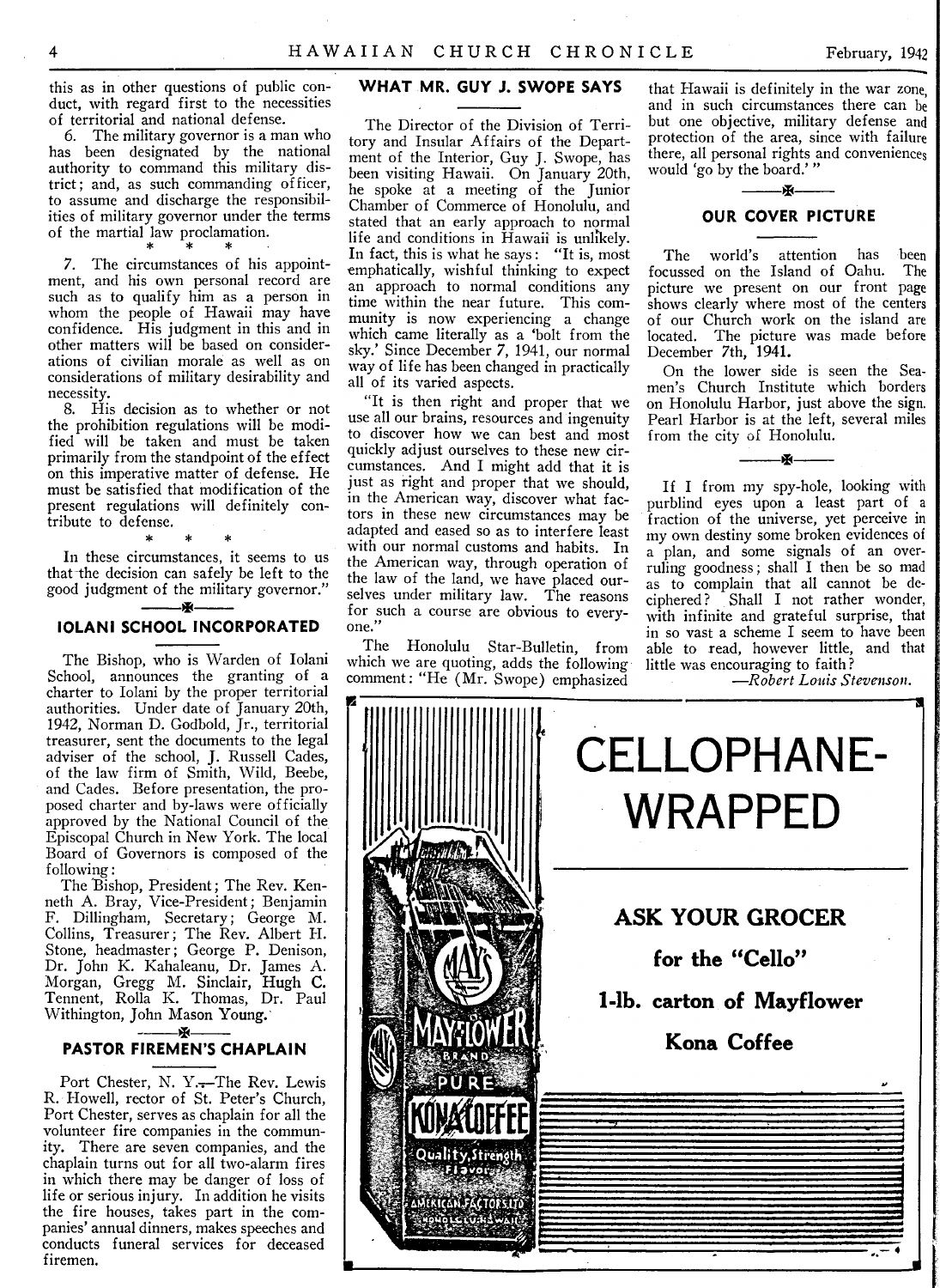this as in other questions of public conduct, with regard first to the necessities of territorial and national defense.

6. The military governor is a man who has been designated by the national authority to command this military district; and, as such commanding officer, to assume and discharge the responsibilities of military governor under the terms of the martial law proclamation.

7. The circumstances of his appointment, and his own personal record are such as to qualify him as a person in whom the people of Hawaii may have confidence. His judgment in this and in other matters will be based on considerations of civilian morale as well as on considerations of military desirability and necessity.

8. His decision as to whether or not the prohibition regulations will be modified will be taken and must be taken primarily from the standpoint of the effect on this imperative matter of defense. He must be satisfied that modification of the present regulations will definitely contribute to defense.

In these circumstances, it seems to us that the decision can safely be left to the good judgment of the military governor."  $\cdot$  -  $\cdot$ 

\* \* \*

#### **IOLANI SCHOOL INCORPORATED**

The Bishop, who is Warden of Iolani School, announces the granting of a charter to Iolani by the proper territorial authorities. Under date of January 20th, 1942, Norman D. Godbold, Jr., territorial treasurer, sent the documents to the legal adviser of the school, J. Russell Cades, of the law firm of Smith, Wild, Beebe, and Cades. Before presentation, the proposed charter and by-laws were officially approved by the National Council of the Episcopal Church in New York. The local Board of Governors is composed of the following:

The Bishop, President; The Rev. Kenneth A. Bray, Vice-President; Benjamin F. Dillingham, Secretary; George M. Collins, Treasurer; The Rev. Albert H. Stone, headmaster; George P. Denison, Dr. John K. Kahaleanu, Dr. James A. Morgan, Gregg M. Sinclair, Hugh C. Tennent, Rolla K. Thomas, Dr. Paul Withington, John Mason Young. ^ \_\_\_\_\_

#### **PASTOR FIREMEN'S CHAPLAIN**

Port Chester, N. Y.-The Rev. Lewis R. Howell, rector of St. Peter's Church, Port Chester, serves as chaplain for all the volunteer fire companies in the community. There are seven companies, and the chaplain turns out for all two-alarm fires in which there may be danger of loss of life or serious injury. In addition he visits the fire houses, takes part in the companies' annual dinners, makes speeches and conducts funeral services for deceased firemen.

#### WHAT MR. GUY J. SWOPE SAYS

The Director of the Division of Territory and Insular Affairs of the Department of the Interior, Guy J. Swope, has been visiting Hawaii. On January 20th, he spoke at a meeting of the Junior Chamber of Commerce of Honolulu, and stated that an early approach to normal life and conditions in Hawaii is unlikely. In fact, this is what he says: "It is, most emphatically, wishful thinking to expect an approach to normal conditions any time within the near future. This community is now experiencing a change which came literally as a 'bolt from the sky.' Since December 7, 1941, our normal way of life has been changed in practically all of its varied aspects.

"It is then right and proper that we use all our brains, resources and ingenuity to discover how we can best and most quickly adjust ourselves to these new circumstances. And I might add that it is just as right and proper that we should, in the American way, discover what factors in these new circumstances may be adapted and eased so as to interfere least with our normal customs and habits. In the American way, through operation of the law of the land, we have placed ourselves under military law. The reasons for such a course are obvious to everyone."

The Honolulu Star-Bulletin, from which we are quoting, adds the following comment: "He (Mr. Swope) emphasized

that Hawaii is definitely in the war zone, and in such circumstances there can be but one objective, military defense and protection of the area, since with failure there, all personal rights and conveniences would 'go by the board.'"

#### Ж------- **OUR COVER PICTURE**

The world's attention has been focussed on the Island of Oahu. The picture we present on our front page shows clearly where most of the centers of our Church work on the island are located. The picture was made befor December 7th, 1941.

On the lower side is seen the Seamen's Church Institute which borders on Honolulu Harbor, just above the sign. Pearl Harbor is at the left, several miles from the city of Honolulu.

 $\overline{\mathbf{M}}$ 

If I from my spy-hole, looking with purblind eyes upon a least part of a fraction of the universe, yet perceive in my own destiny some broken evidences of a plan, and some signals of an overruling goodness; shall I then be so mad as to complain that all cannot be deciphered ? Shall I not rather wonder, with infinite and grateful surprise, that in so vast a scheme I seem to have been able to read, however little, and that little was encouraging to faith ?

*— Robert Louis Stevenson.*

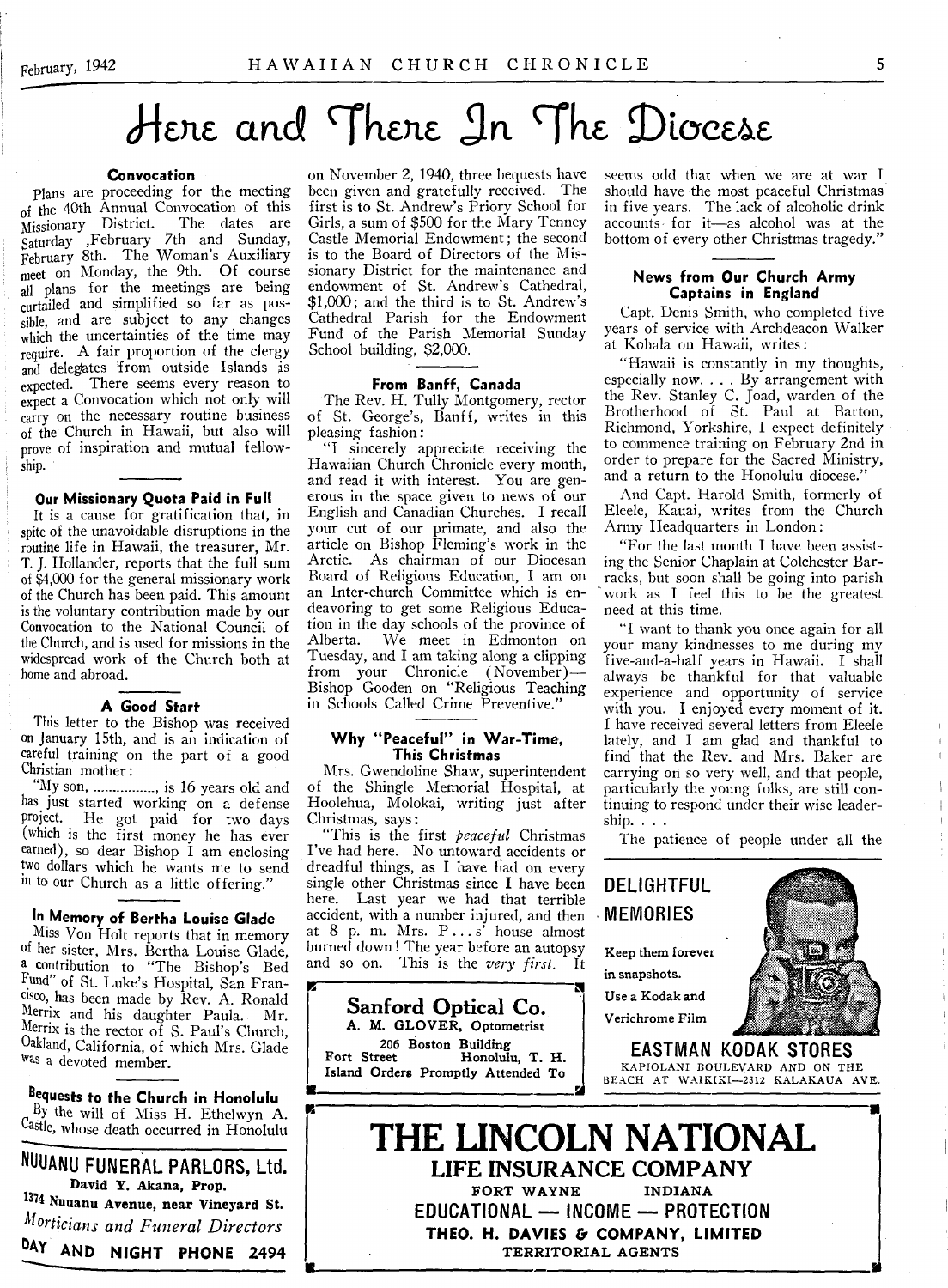## Here and There In The Diocese

#### **Convocation**

Plans are proceeding for the meeting of the 40th Annual Convocation of this Missionary District. The dates are Saturday .February 7th and Sunday, February 8th. The Woman's Auxiliary meet on Monday, the 9th. Of course all plans for the meetings are being curtailed and simplified so far as possible, and are subject to any changes which the uncertainties of the time may require. A fair proportion of the clergy and delegates 'from outside Islands is expected. There seems every reason to expect a Convocation which not only will carry on the necessary routine business of the Church in Hawaii, but also will prove of inspiration and mutual fellowship.

#### **Our Missionary Quota Paid in Full**

It is a cause for gratification that, in spite of the unavoidable disruptions in the routine life in Hawaii, the treasurer, Mr. T. J. Hollander, reports that the full sum of \$4,000 for the general missionary work of the Church has been paid. This amount is the voluntary contribution made by our Convocation to the National Council of the Church, and is used for missions in the widespread work of the Church both at home and abroad.

#### **A** Good Start

This letter to the Bishop was received on January 15th, and is an indication of careful training on the part of a good Christian mother:

"My son, ................, is 16 years old and has just started working on a defense project. He got paid for two days (which is the first money he has ever earned), so dear Bishop I am enclosing two dollars which he wants me to send in to our Church as a little offering.'

#### In Memory of Bertha Louise Glade

Miss Von Holt reports that in memory of her sister, Mrs. Bertha Louise Glade, a contribution to "The Bishop's Bed Fund" of St. Luke's Hospital, San Francisco, has been made by Rev. A. Ronald Меггіх and his daughter Paula. Mr. Merrix is the rector of S. Paul's Church, Oakland, California, of which Mrs. Glade was a devoted member.

**Bequests to the Church in Honolulu** By the will of Miss H. Ethelwyn A. Castle, whose death occurred in Honolulu

**NUUANU FUNERAL PARLORS, Ltd.** David Y. Akana, Prop. 1374 Nuuanu Avenue, near Vineyard St. Morticians and Funeral Directors DAY AND NIGHT PHONE 2494

on November 2, 1940, three bequests have been given and gratefully received. The first is to St. Andrew's Priory School for Girls, a sum of \$500 for the Mary Tenney Castle Memorial Endowment; the second is to the Board of Directors of the Missionary District for the maintenance and endowment of St. Andrew's Cathedral, \$1,000; and the third is to St. Andrew's Cathedral Parish for the Endowment Fund of the Parish Memorial Sunday School building, \$2,000.

#### From Banff, Canada

The Rev. H. Tully Montgomery, rector of St. George's, Banff, writes in this pleasing fashion:

"I sincerely appreciate receiving the Hawaiian Church Chronicle every month, and read it with interest. You are generous in the space given to news of our English and Canadian Churches. I recall your cut of our primate, and also the article on Bishop Fleming's work in the Arctic. As chairman of our Diocesan Board of Religious Education, I am on an Inter-church Committee which is endeavoring to get some Religious Education in the day schools of the province of<br>Alberta. We meet in Edmonton on We meet in Edmonton on Tuesday, and I am taking along a dipping from your Chronicle (November)— Bishop Gooden on "Religious Teaching in Schools Called Crime Preventive."

#### Why "Peaceful" in War-Time, **This Christmas**

Mrs. Gwendoline Shaw, superintendent of the Shingle Memorial Hospital, at Hoolehua, Molokai, writing just after Christmas, says:

"This is the first *peaceful* Christmas I've had here. No untoward accidents or dreadful things, as I have had on every single other Christmas since I have been here. Last year we had that terrible accident, with a number injured, and then at  $8$  p. m. Mrs.  $P \ldots s'$  house almost burned down 1 The year before an autopsy and so on. This is the *very first.* It

**Sanford Optical Co.** A. M. GLOVER, Optometrist 206 Boston Building Fort Street Honolulu, Т. H. Island Orders Promptly Attended To

a

seems odd that when we are at war I should have the most peaceful Christmas in five years. The lack of alcoholic drink accounts- for it—as alcohol was at the bottom of every other Christmas tragedy."

#### **News from Our Church Army Captains in England**

Capt. Denis Smith, who completed five years of service with Archdeacon Walker at Kohala on Hawaii, w rites:

"Hawaii is constantly in my thoughts, especially now. . . . By arrangement with the Rev. Stanley C. Joad, warden of the Brotherhood of St. Paul at Barton, Richmond, Yorkshire, I expect definitely to commence training on February 2nd in order to prepare for the Sacred Ministry, and a return to the Honolulu diocese."

And Capt. Harold Smith, formerly of Eleele, Kauai, writes from the Church Army Headquarters in London:

"For the last month I have been assisting the Senior Chaplain at Colchester Barracks, but soon shall be going into parish Work as I feel this to be the greatest need at this time.

"I want to thank you once again for all your many kindnesses to me during my five-and-a-half years in Hawaii. I shall always be thankful for that valuable experience and opportunity of service with you. I enjoyed every moment of it. I have received several letters from Eleele lately, and I am glad and thankful to find that the Rev. and Mrs. Baker are carrying on so very well, and that people, particularly the young folks, are still continuing to respond under their wise leadership. . . .

The patience of people under all the



**DELIGHTFUL**

Verichrome Film



**EASTMAN KODAK STORES** KAPIOLANI BOULEVARD AND ON THE BEACH AT WAIKIKI-2312 KALAKAUA AVE.

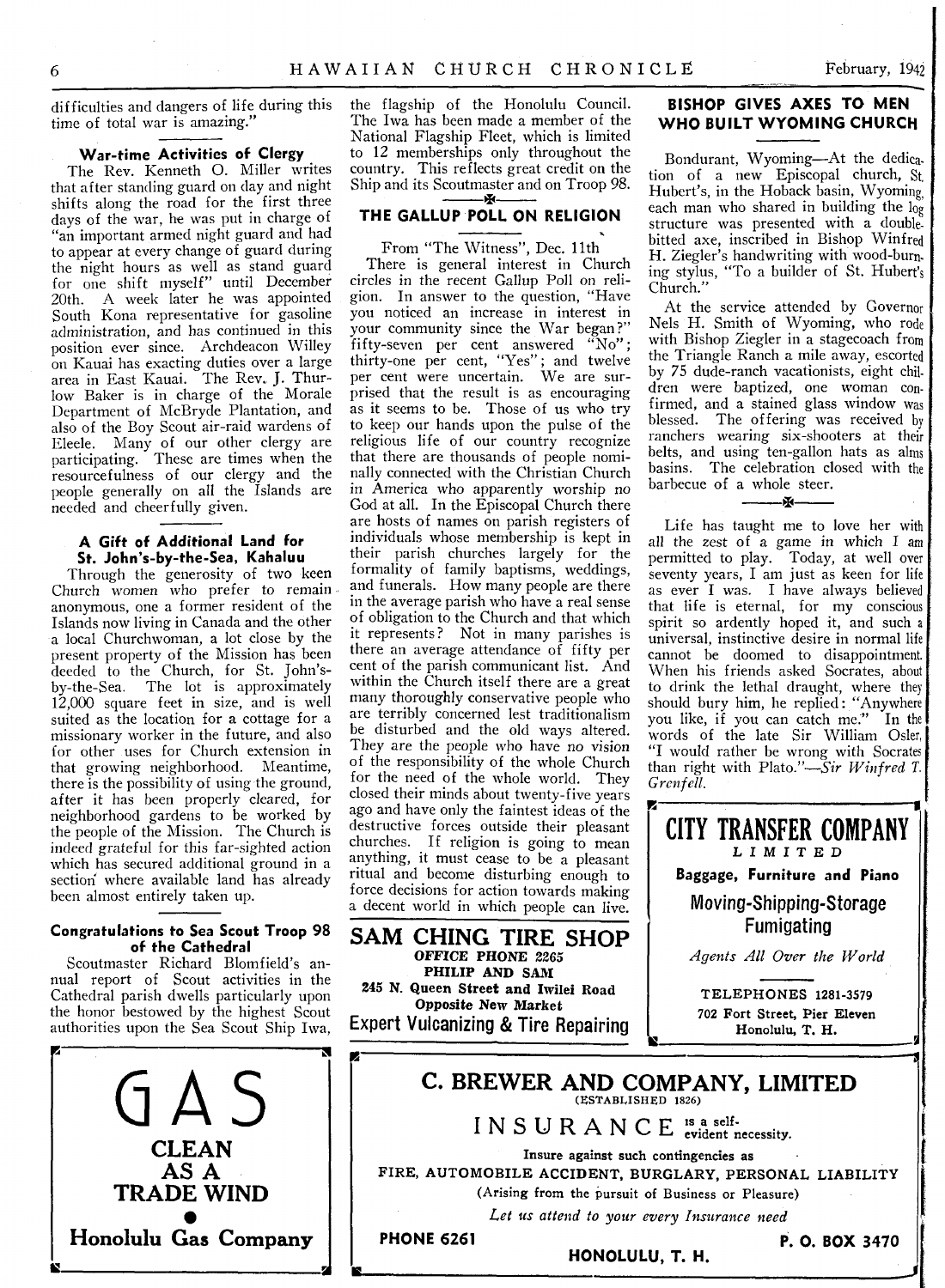difficulties and dangers of life during this time of total war is amazing."

#### **War-time Activities of Clergy**

The Rev. Kenneth O. Miller writes that after standing guard on day and night shifts along the road for the first three days of the war, he was put in charge of "an important armed night guard and had to appear at every change of guard during the night hours as well as stand guard for one shift myself" until December 20th. A week later he was appointed South Kona representative for gasoline administration, and has continued in this position ever since. Archdeacon Willey on Kauai has exacting duties over a large area in East Kauai. The Rev. J. Thurlow Baker is in charge of the Morale Department of McBryde Plantation, and also of the Boy Scout air-raid wardens of Eleele. Many of our other clergy are participating. These are times when the resourcefulness of our clergy and the people generally on all the Islands are needed and cheerfully given.

#### **A Gift of Additional Land for** St. John's-by-the-Sea, Kahaluu

Through the generosity of two keen Church women who prefer to remain anonymous, one a former resident of the Islands now living in Canada and the other a local Churchwoman, a lot close by the present property of the Mission has been deeded to the Church, for St. John'sby-the-Sea. The lot is approximately 12,000 square feet in size, and is well suited as the location for a cottage for a missionary worker in the future, and also for other uses for Church extension in that growing neighborhood. Meantime, there is the possibility of using the ground, after it has been properly cleared, for neighborhood gardens to be worked by the people of the Mission. The Church is indeed grateful for this far-sighted action which has secured additional ground in a section where available land has already been almost entirely taken up.

#### **Congratulations to Sea Scout Troop 98** of the Cathedral

Scoutmaster Richard Blomfield's annual report of Scout activities in the Cathedral parish dwells particularly upon the honor bestowed by the highest Scout authorities upon the Sea Scout Ship Iwa,



the flagship of the Honolulu Council. The Iwa has been made a member of the National Flagship Fleet, which is limited to 12 memberships only throughout the country. This reflects great credit on the Ship and its Scoutmaster and on Troop 98.

#### **THE GALLUP POLL ON RELIGION**

From "The Witness", Dec. 11th There is general interest in Church circles in the recent Gallup Poll on religion. In answer to the question, "Have you noticed an increase in interest in your community since the War began?" fifty-seven per cent answered "No" ; thirty-one per cent, "Yes" ; and twelve per cent were uncertain. We are surprised that the result is as encouraging as it seems to be. Those of us who try to keep our hands upon the pulse of the religious life of our country recognize that there are thousands of people nominally connected with the Christian Church in America who apparently worship no God at all. In the Episcopal Church there are hosts of names on parish registers of individuals whose membership is kept in their parish churches largely for the formality of family baptisms, weddings, and funerals. How many people are there in the average parish who have a real sense of obligation to the Church and that which it represents? Not in many parishes is there an average attendance of fifty per cent of the parish communicant list. And within the Church itself there are a great many thoroughly conservative people who are terribly concerned lest traditionalism be disturbed and the old ways altered. They are the people who have no vision of the responsibility of the whole Church for the need of the whole world. They closed their minds about twenty-five years ago and have only the faintest ideas of the destructive forces outside their pleasant churches. If religion is going to mean anything, it must cease to be a pleasant ritual and become disturbing enough to force decisions for action towards making a decent world in which people can live.

**SAM CHING TIRE SHOP** OFFICE PHONE 2265 PHILIP AND SAM 245 N. Queen Street and Iwilei Road Opposite New Market **Expert Vulcanizing & Tire Repairing**

#### **BISHOP GIVES AXES TO MEN. WHO BUILT WYOMING CHURCH**

Bondurant, Wyoming—At the dedication of a new Episcopal church, St, Hubert's, in the Hoback basin, Wyoming, each man who shared in building the  $\log$ structure was presented with a doublebitted axe, inscribed in Bishop Winfred H. Ziegler's handwriting with wood-burning stylus, "To a builder of St. Hubert's Church."

At the service attended by Governor Nels H. Smith of Wyoming, who rode with Bishop Ziegler in a stagecoach from the Triangle Ranch a mile away, escorted by 75 dude-ranch vacationists, eight children were baptized, one woman confirmed, and a stained glass window was blessed. The offering was received by ranchers wearing six-shooters at their belts, and using ten-gallon hats as alms basins. The celebration closed with the barbecue of a whole steer.

 $\mathbf{x}$ 

Life has taught me to love her with all the zest of a game in which I am permitted to play. Today, at well over seventy years, I am just as keen for life as ever I was. I have always believed that life is eternal, for my conscious spirit so ardently hoped it, and such a universal, instinctive desire in normal life cannot be doomed to disappointment. When his friends asked Socrates, about to drink the lethal draught, where they should bury him, he replied: "Anywhere you like, if you can catch me." In the words of the late Sir William Osier, "I would rather be wrong with Socrates than right with Plato*."— Sir W infred T. Grenfell.*

CITY TRANSFER COMPANY LIMITED **Baggage, Furniture and Piano Moving-Shipping-Storage Fumigating**

Agents All Over the World

TELEPHONES 1281-3579 702 Fort Street, Pier Eleven Honolulu, Т. H.

*-*



IS ---------------------------------------------------- \_ J |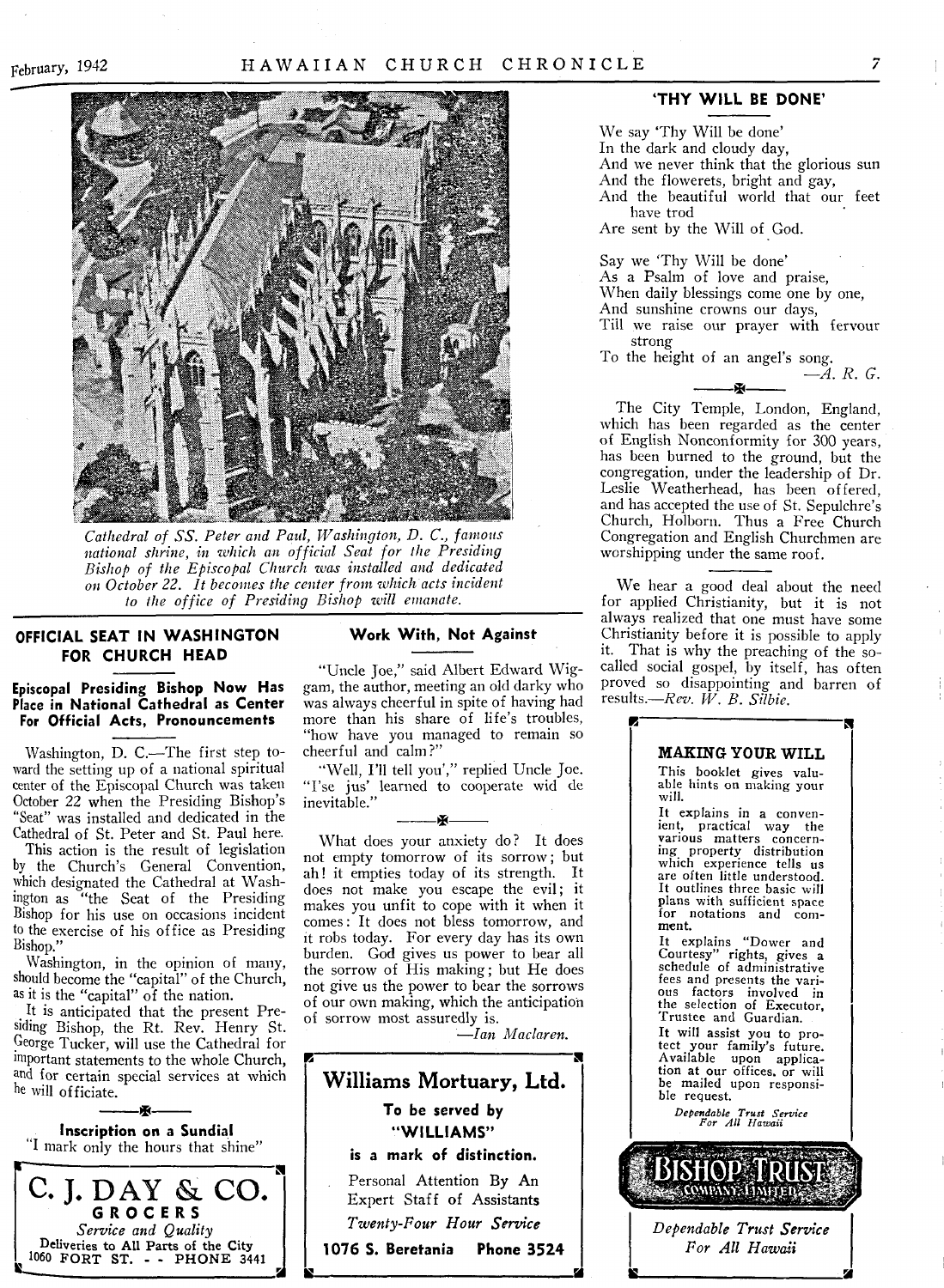

*Cathedral of SS. Peter and Paul, Washington, D. C., famous national shrine, in which an official Seat for the Presiding Bishop of the Episcopal Church was installed and dedicated on October 22. It becomes the center from which acts incident to the office of Presiding Bishop will emanate.*

#### **OFFICIAL SEAT IN WASHINGTON Work With, Not Against FOR CHURCH HEAD**

#### **Episcopal Presiding Bishop Now Has** Place in National Cathedral as Center **For Official Acts, Pronouncements**

Washington, D. C.—The first step toward the setting up of a national spiritual center of the Episcopal Church was taken October 22 when the Presiding Bishop's "Seat" was installed and dedicated in the Cathedral of St. Peter and St. Paul here.

This action is the result of legislation by the Church's General Convention, which designated the Cathedral at Washington as "the Seat of the Presiding Bishop for his use on occasions incident to the exercise of his office as Presiding Bishop."

Washington, in the opinion of many, should become the "capital" of the Church, as it is the "capital" of the nation.

It is anticipated that the present Presiding Bishop, the Rt. Rev. Henry St. George Tucker, will use the Cathedral for important statements to the whole Church, and for certain special services at which he will officiate.

——— A-——— **Inscription on a Sundial** "I mark only the hours that shine" **C. J. DAY & CO.** GROCERS *Service and Quality* Deliveries to All Parts of the City 1060 FORT ST. - - PHONE 3441

"Uncle Joe," said Albert Edward Wiggam, the author, meeting an old darky who was always cheerful in spite of having had more than his share of life's troubles, "how have you managed to remain so cheerful and calm?"

"Well, I'll tell you'," replied Uncle Joe. "I'se jus' learned to cooperate wid de inevitable."

 $\tilde{X}$ 

What does your anxiety do? It does not empty tomorrow of its sorrow ; but ah! it empties today of its strength. It does not make you escape the evil; it makes you unfit to cope with it when it comes: It does not bless tomorrow, and it robs today. For every day has its own burden. God gives us power to bear all the sorrow of His making; but He does not give us the power to bear the sorrows of our own making, which the anticipation of sorrow most assuredly is.

*— Ian Maclaren.*



#### 'THY WILL BE DONE'

We say 'Thy Will be done' In the dark and cloudy day, And we never think that the glorious sun And the flowerets, bright and gay, And the beautiful world that our feet have trod

Are sent by the Will of God.

Say we 'Thy Will be done' As a Psalm of love and praise, When daily blessings come one by one, And sunshine crowns our days,

Till we raise our prayer with fervour strong

\* ------

To the height of an angel's song.

*— A. R. G.*

The City Temple, London, England, which has been regarded as the center of English Nonconformity for 300 years, has been burned to the ground, but the congregation, under the leadership of Dr. Leslie Weatherhead, has been offered, and has accepted the use of St. Sepulchre's Church, Holborn. Thus a Free Church Congregation and English Churchmen are worshipping under the same roof.

We hear a good deal about the need for applied Christianity, but it is not always realized that one must have some Christianity before it is possible to apply<br>it. That is why the preaching of the so-That is why the preaching of the socalled social gospel, by itself, has often proved so disappointing and barren of results.—*Rev. W . B. Silbie.*